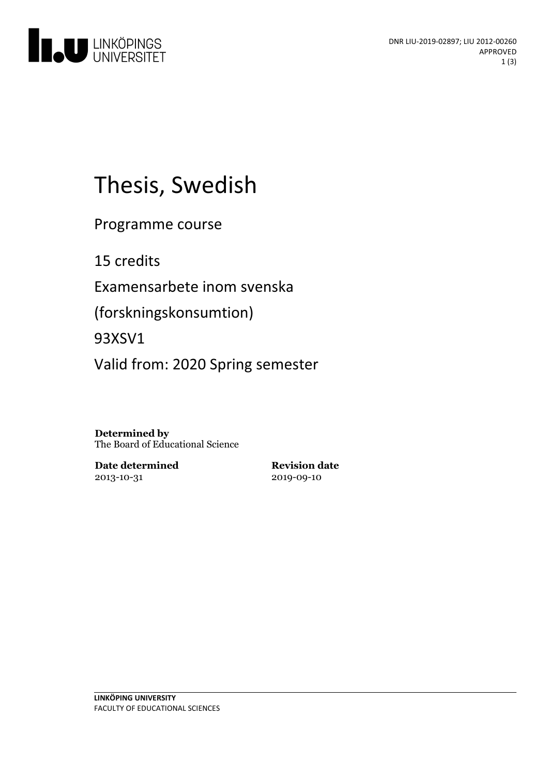

# Thesis, Swedish

Programme course

15 credits

Examensarbete inom svenska

(forskningskonsumtion)

93XSV1

Valid from: 2020 Spring semester

**Determined by** The Board of Educational Science

**Date determined** 2013-10-31

**Revision date** 2019-09-10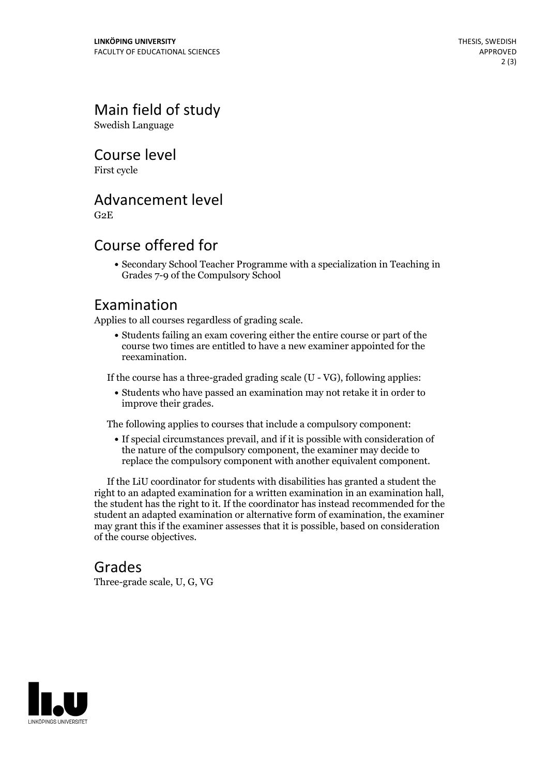# Main field of study

Swedish Language

Course level

First cycle

#### Advancement level

G2E

### Course offered for

Secondary School Teacher Programme with a specialization in Teaching in Grades 7-9 of the Compulsory School

#### Examination

Applies to all courses regardless of grading scale.

Students failing an exam covering either the entire course or part of the course two times are entitled to have a new examiner appointed for the reexamination.

If the course has a three-graded grading scale (U - VG), following applies:

Students who have passed an examination may not retake it in order to improve their grades.

The following applies to courses that include a compulsory component:

If special circumstances prevail, and if it is possible with consideration of the nature of the compulsory component, the examiner may decide to replace the compulsory component with another equivalent component.

If the LiU coordinator for students with disabilities has granted a student the right to an adapted examination for <sup>a</sup> written examination in an examination hall, the student has the right to it. If the coordinator has instead recommended for the student an adapted examination or alternative form of examination, the examiner may grant this if the examiner assesses that it is possible, based on consideration of the course objectives.

#### Grades

Three-grade scale, U, G, VG